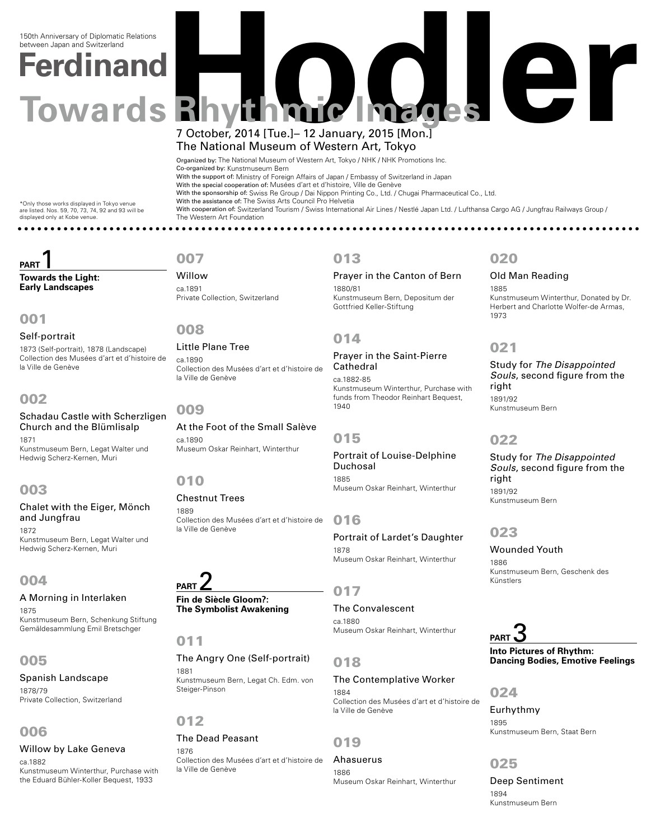# **Ferdinand**  150th Anniversary of Diplomatic Relations between Japan and Switzerland

# **Towards Rhythmic Images** 7 October, 2014 [Tue.]– 12 January, 2015 [Mon.] The National Museum of Western Art, Tokyo

Organized by: The National Museum of Western Art, Tokyo / NHK / NHK Promotions Inc. Co-organized by: Kunstmuseum Bern With the support of: Ministry of Foreign Affairs of Japan / Embassy of Switzerland in Japan With the special cooperation of: Musées d'art et d'histoire, Ville de Genève With the sponsorship of: Swiss Re Group / Dai Nippon Printing Co., Ltd. / Chugai Pharmaceutical Co., Ltd. With the assistance of: The Swiss Arts Council Pro Helvetia With cooperation of: Switzerland Tourism / Swiss International Air Lines / Nestlé Japan Ltd. / Lufthansa Cargo AG / Jungfrau Railways Group / The Western Art Foundation 

\*Only those works displayed in Tokyo venue are listed. Nos. 59, 70, 73, 74, 92 and 93 will be displayed only at Kobe venue.

# **PART Towards the Light:**

**Early Landscapes**

# 001

Self-portrait 1873 (Self-portrait), 1878 (Landscape) Collection des Musées d'art et d'histoire de la Ville de Genève

# 002

Schadau Castle with Scherzligen Church and the Blümlisalp 1871

Kunstmuseum Bern, Legat Walter und Hedwig Scherz-Kernen, Muri

# 003

Chalet with the Eiger, Mönch and Jungfrau 1872

Kunstmuseum Bern, Legat Walter und Hedwig Scherz-Kernen, Muri

# 004

A Morning in Interlaken 1875 Kunstmuseum Bern, Schenkung Stiftung Gemäldesammlung Emil Bretschger

# 005

Spanish Landscape

1878/79 Private Collection, Switzerland

# 006

# Willow by Lake Geneva

ca.1882 Kunstmuseum Winterthur, Purchase with the Eduard Bühler-Koller Bequest, 1933

# 007

Willow ca.1891 Private Collection, Switzerland

008

Little Plane Tree ca.1890 Collection des Musées d'art et d'histoire de la Ville de Genève

009

At the Foot of the Small Salève ca.1890 Museum Oskar Reinhart, Winterthur

# 010

1889 Collection des Musées d'art et d'histoire de la Ville de Genève

# **PART** 2

Chestnut Trees

**Fin de Siècle Gloom?: The Symbolist Awakening**

### 011

The Angry One (Self-portrait) 1881 Kunstmuseum Bern, Legat Ch. Edm. von Steiger-Pinson

# 012

#### The Dead Peasant 1876

Collection des Musées d'art et d'histoire de la Ville de Genève

# 013

Prayer in the Canton of Bern 1880/81 Kunstmuseum Bern, Depositum der Gottfried Keller-Stiftung

# 014

Prayer in the Saint-Pierre Cathedral ca.1882-85 Kunstmuseum Winterthur, Purchase with funds from Theodor Reinhart Bequest, 1940

### 015

Portrait of Louise-Delphine Duchosal 1885 Museum Oskar Reinhart, Winterthur

### 016

Portrait of Lardet's Daughter 1878 Museum Oskar Reinhart, Winterthur

# 017

#### The Convalescent ca.1880

Museum Oskar Reinhart, Winterthur

# 018

#### The Contemplative Worker

1884 Collection des Musées d'art et d'histoire de la Ville de Genève

019

#### Ahasuerus 1886 Museum Oskar Reinhart, Winterthur

# 020

Old Man Reading 1885 Kunstmuseum Winterthur, Donated by Dr. Herbert and Charlotte Wolfer-de Armas, 1973

# 021

Study for *The Disappointed Souls*, second figure from the right 1891/92 Kunstmuseum Bern

### 022

Study for *The Disappointed Souls*, second figure from the right 1891/92 Kunstmuseum Bern

# 023

Wounded Youth 1886 Kunstmuseum Bern, Geschenk des Künstlers

# **PART**

**Into Pictures of Rhythm: Dancing Bodies, Emotive Feelings**

024

Eurhythmy 1895 Kunstmuseum Bern, Staat Bern

# 025

Deep Sentiment 1894 Kunstmuseum Bern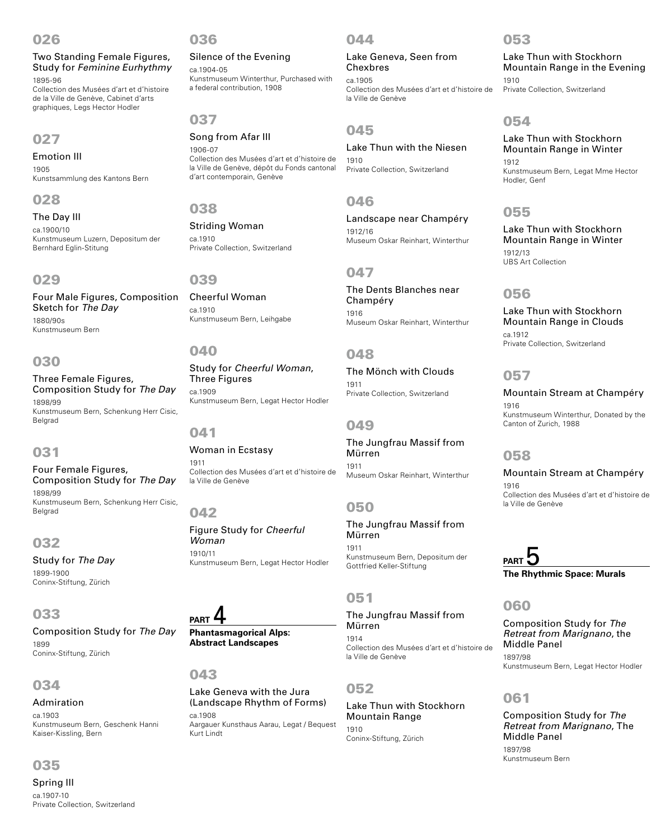## 026

Two Standing Female Figures, Study for *Feminine Eurhythmy* 1895-96

Collection des Musées d'art et d'histoire de la Ville de Genève, Cabinet d'arts graphiques, Legs Hector Hodler

#### 027

Emotion III 1905 Kunstsammlung des Kantons Bern

#### 028

The Day III ca.1900/10

Kunstmuseum Luzern, Depositum der Bernhard Eglin-Stitung

#### 029

Four Male Figures, Composition Sketch for *The Day* 1880/90s Kunstmuseum Bern

## 030

Three Female Figures, Composition Study for *The Day* 1898/99 Kunstmuseum Bern, Schenkung Herr Cisic, Belgrad

# 031

Four Female Figures, Composition Study for *The Day* 1898/99 Kunstmuseum Bern, Schenkung Herr Cisic, Belgrad

### 032

Study for *The Day* 1899-1900 Coninx-Stiftung, Zürich

#### 033

Composition Study for *The Day* 1899 Coninx-Stiftung, Zürich

### 034

#### Admiration ca.1903 Kunstmuseum Bern, Geschenk Hanni Kaiser-Kissling, Bern

# 035

Spring III ca.1907-10 Private Collection, Switzerland

#### 036

Silence of the Evening ca.1904-05 Kunstmuseum Winterthur, Purchased with a federal contribution, 1908

# 037

Song from Afar III 1906-07 Collection des Musées d'art et d'histoire de la Ville de Genève, dépôt du Fonds cantonal d'art contemporain, Genève

## 038

Striding Woman ca.1910 Private Collection, Switzerland

### 039

Cheerful Woman ca.1910 Kunstmuseum Bern, Leihgabe

# 040

Study for *Cheerful Woman*, Three Figures ca.1909 Kunstmuseum Bern, Legat Hector Hodler

#### 041

#### Woman in Ecstasy

1911 Collection des Musées d'art et d'histoire de la Ville de Genève

#### 042

Figure Study for *Cheerful Woman* 1910/11 Kunstmuseum Bern, Legat Hector Hodler

# **PART** 4

**Phantasmagorical Alps: Abstract Landscapes**

#### 043

#### Lake Geneva with the Jura (Landscape Rhythm of Forms) ca.1908

Aargauer Kunsthaus Aarau, Legat / Bequest Kurt Lindt

### 044

Lake Geneva, Seen from Chexbres ca.1905 Collection des Musées d'art et d'histoire de la Ville de Genève

# 045

Lake Thun with the Niesen 1910 Private Collection, Switzerland

# 046

Landscape near Champéry 1912/16 Museum Oskar Reinhart, Winterthur

# 047

The Dents Blanches near Champéry 1916 Museum Oskar Reinhart, Winterthur

# 048

The Mönch with Clouds 1911 Private Collection, Switzerland

### 049

The Jungfrau Massif from Mürren 1911 Museum Oskar Reinhart, Winterthur

# 050

The Jungfrau Massif from Mürren 1911 Kunstmuseum Bern, Depositum der Gottfried Keller-Stiftung

# 051

The Jungfrau Massif from Mürren 1914 Collection des Musées d'art et d'histoire de la Ville de Genève

# 052

Lake Thun with Stockhorn Mountain Range 1910 Coninx-Stiftung, Zürich

#### 053

Lake Thun with Stockhorn Mountain Range in the Evening 1910 Private Collection, Switzerland

# 054

Lake Thun with Stockhorn Mountain Range in Winter 1912

Kunstmuseum Bern, Legat Mme Hector Hodler, Genf

# 055

Lake Thun with Stockhorn Mountain Range in Winter 1912/13 UBS Art Collection

### 056

Lake Thun with Stockhorn Mountain Range in Clouds ca.1912 Private Collection, Switzerland

## 057

#### Mountain Stream at Champéry 1916 Kunstmuseum Winterthur, Donated by the Canton of Zurich, 1988

### 058

Mountain Stream at Champéry 1916

Collection des Musées d'art et d'histoire de la Ville de Genève

# PART **5 The Rhythmic Space: Murals**

# 060

Composition Study for *The Retreat from Marignano*, the Middle Panel 1897/98

Kunstmuseum Bern, Legat Hector Hodler

#### 061

Composition Study for *The Retreat from Marignano*, The Middle Panel 1897/98 Kunstmuseum Bern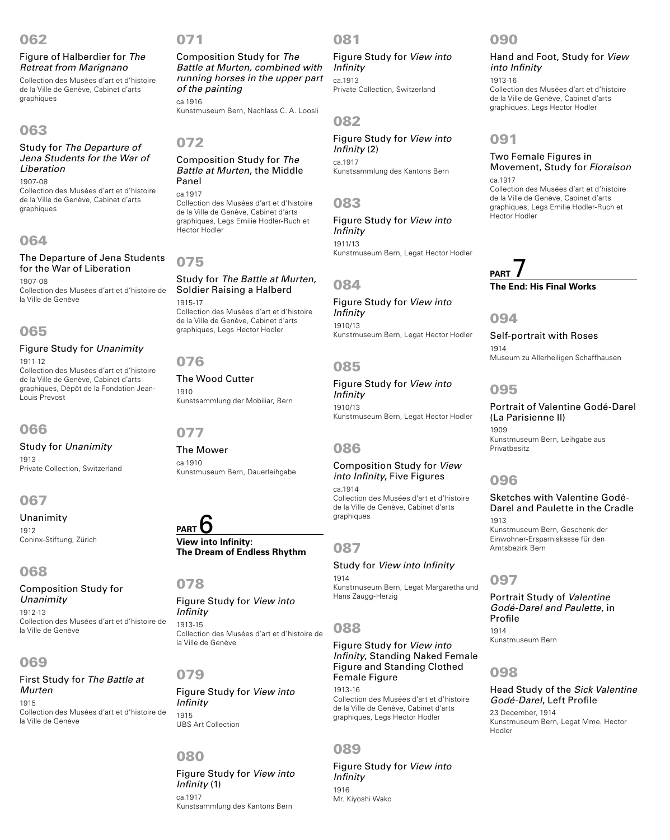## 062

#### Figure of Halberdier for *The Retreat from Marignano*

Collection des Musées d'art et d'histoire de la Ville de Genève, Cabinet d'arts graphiques

# 063

#### Study for *The Departure of Jena Students for the War of Liberation* 1907-08

Collection des Musées d'art et d'histoire de la Ville de Genève, Cabinet d'arts graphiques

# 064

#### The Departure of Jena Students for the War of Liberation 1907-08

Collection des Musées d'art et d'histoire de la Ville de Genève

# 065

#### Figure Study for *Unanimity*

1911-12 Collection des Musées d'art et d'histoire de la Ville de Genève, Cabinet d'arts graphiques, Dépôt de la Fondation Jean-Louis Prevost

# 066

#### Study for *Unanimity* 1913 Private Collection, Switzerland

# 067

Unanimity 1912 Coninx-Stiftung, Zürich

# 068

# Composition Study for *Unanimity*

1912-13 Collection des Musées d'art et d'histoire de la Ville de Genève

# 069

#### First Study for *The Battle at Murten* 1915 Collection des Musées d'art et d'histoire de la Ville de Genève

### 071

Composition Study for *The Battle at Murten, combined with running horses in the upper part of the painting* ca.1916

Kunstmuseum Bern, Nachlass C. A. Loosli

## 072

#### Composition Study for *The Battle at Murten*, the Middle Panel ca.1917

Collection des Musées d'art et d'histoire de la Ville de Genève, Cabinet d'arts graphiques, Legs Emilie Hodler-Ruch et Hector Hodler

# 075

#### Study for *The Battle at Murten*, Soldier Raising a Halberd 1915-17 Collection des Musées d'art et d'histoire de la Ville de Genève, Cabinet d'arts graphiques, Legs Hector Hodler

## 076

#### The Wood Cutter 1910 Kunstsammlung der Mobiliar, Bern

### 077

The Mower ca.1910 Kunstmuseum Bern, Dauerleihgabe

# **PART** 6

**View into Infinity: The Dream of Endless Rhythm**

#### 078

Figure Study for *View into Infinity* 1913-15 Collection des Musées d'art et d'histoire de la Ville de Genève

# 079

Figure Study for *View into Infinity* 1915 UBS Art Collection

# 080

Figure Study for *View into Infinity* (1) ca.1917 Kunstsammlung des Kantons Bern

# 081

Figure Study for *View into Infinity* ca.1913 Private Collection, Switzerland

# 082

Figure Study for *View into Infinity* (2) ca.1917 Kunstsammlung des Kantons Bern

# 083

Figure Study for *View into Infinity* 1911/13 Kunstmuseum Bern, Legat Hector Hodler

### 084

Figure Study for *View into Infinity* 1910/13 Kunstmuseum Bern, Legat Hector Hodler

# 085

Figure Study for *View into Infinity* 1910/13 Kunstmuseum Bern, Legat Hector Hodler

# 086

#### Composition Study for *View into Infinity*, Five Figures

ca.1914 Collection des Musées d'art et d'histoire de la Ville de Genève, Cabinet d'arts graphiques

### 087

Study for *View into Infinity* 1914 Kunstmuseum Bern, Legat Margaretha und Hans Zaugg-Herzig

# 088

Figure Study for *View into Infinity*, Standing Naked Female Figure and Standing Clothed Female Figure

1913-16 Collection des Musées d'art et d'histoire de la Ville de Genève, Cabinet d'arts graphiques, Legs Hector Hodler

# 089

Figure Study for *View into Infinity* 1916

# 090

#### Hand and Foot, Study for *View into Infinity* 1913-16

Collection des Musées d'art et d'histoire de la Ville de Genève, Cabinet d'arts graphiques, Legs Hector Hodler

# 091

#### Two Female Figures in Movement, Study for *Floraison*

ca.1917 Collection des Musées d'art et d'histoire de la Ville de Genève, Cabinet d'arts graphiques, Legs Emilie Hodler-Ruch et Hector Hodler

# **PART** 7 **The End: His Final Works**

#### 094

Self-portrait with Roses 1914 Museum zu Allerheiligen Schaffhausen

# 095

Portrait of Valentine Godé-Darel (La Parisienne II) 1909 Kunstmuseum Bern, Leihgabe aus Privatbesitz

# 096

# Sketches with Valentine Godé-Darel and Paulette in the Cradle 1913

Kunstmuseum Bern, Geschenk der Einwohner-Ersparniskasse für den Amtsbezirk Bern

# 097

Portrait Study of *Valentine Godé-Darel and Paulette*, in Profile 1914 Kunstmuseum Bern

# 098

#### Head Study of the *Sick Valentine Godé-Darel*, Left Profile

23 December, 1914 Kunstmuseum Bern, Legat Mme. Hector Hodler

Mr. Kiyoshi Wako